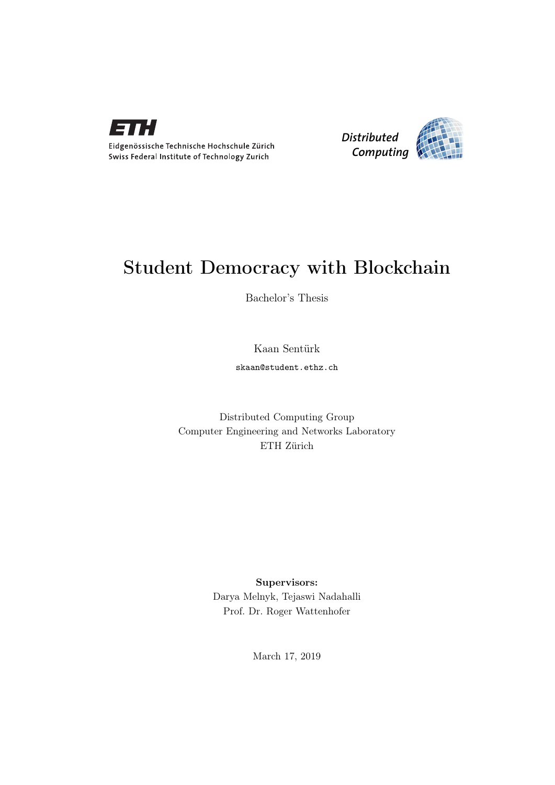

Eidgenössische Technische Hochschule Zürich Swiss Federal Institute of Technology Zurich



# Student Democracy with Blockchain

Bachelor's Thesis

Kaan Sentürk

skaan@student.ethz.ch

Distributed Computing Group Computer Engineering and Networks Laboratory ETH Zürich

> Supervisors: Darya Melnyk, Tejaswi Nadahalli Prof. Dr. Roger Wattenhofer

> > March 17, 2019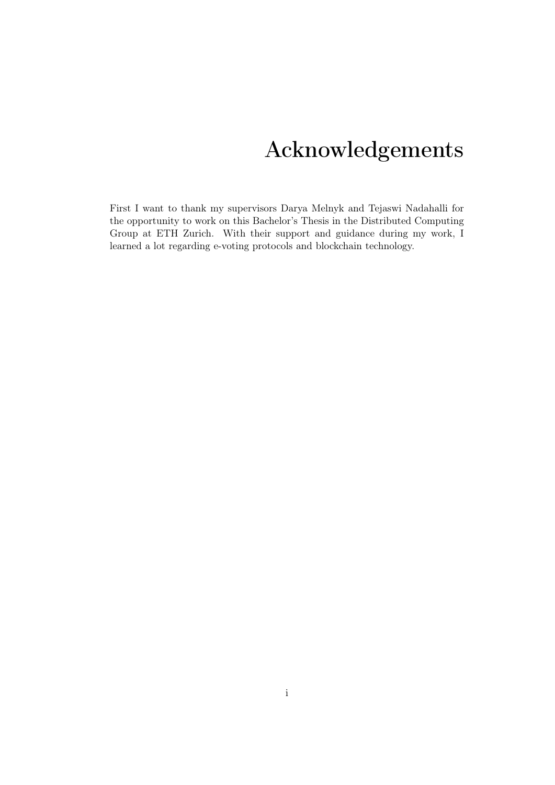# Acknowledgements

<span id="page-1-0"></span>First I want to thank my supervisors Darya Melnyk and Tejaswi Nadahalli for the opportunity to work on this Bachelor's Thesis in the Distributed Computing Group at ETH Zurich. With their support and guidance during my work, I learned a lot regarding e-voting protocols and blockchain technology.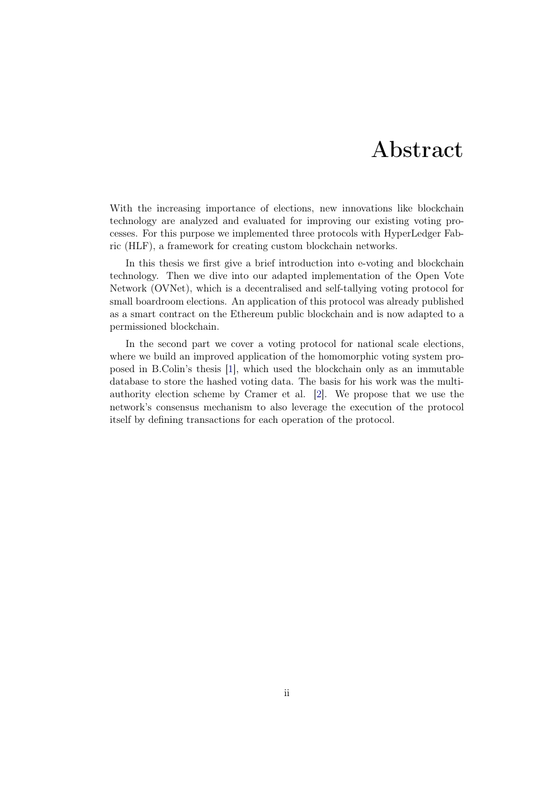# Abstract

<span id="page-2-0"></span>With the increasing importance of elections, new innovations like blockchain technology are analyzed and evaluated for improving our existing voting processes. For this purpose we implemented three protocols with HyperLedger Fabric (HLF), a framework for creating custom blockchain networks.

In this thesis we first give a brief introduction into e-voting and blockchain technology. Then we dive into our adapted implementation of the Open Vote Network (OVNet), which is a decentralised and self-tallying voting protocol for small boardroom elections. An application of this protocol was already published as a smart contract on the Ethereum public blockchain and is now adapted to a permissioned blockchain.

In the second part we cover a voting protocol for national scale elections, where we build an improved application of the homomorphic voting system proposed in B.Colin's thesis [\[1\]](#page-32-0), which used the blockchain only as an immutable database to store the hashed voting data. The basis for his work was the multiauthority election scheme by Cramer et al. [\[2\]](#page-32-1). We propose that we use the network's consensus mechanism to also leverage the execution of the protocol itself by defining transactions for each operation of the protocol.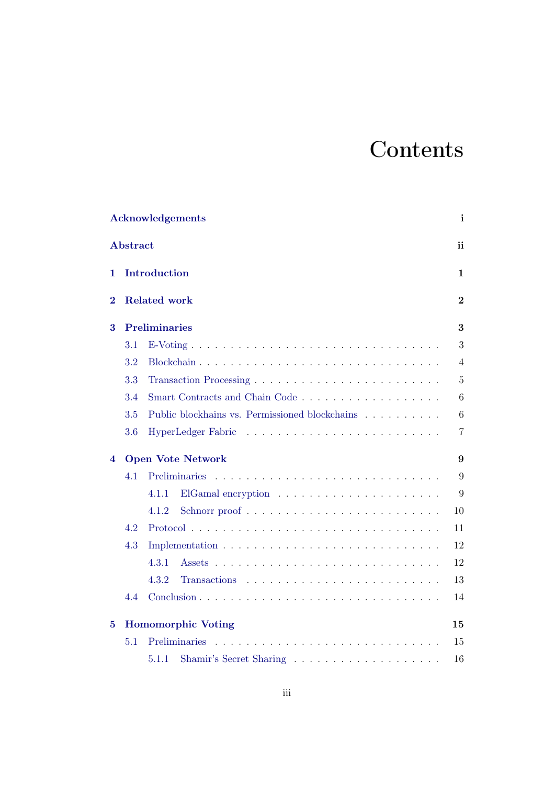# **Contents**

|          | <b>Acknowledgements</b> |                                                                                  |                |  |  |  |
|----------|-------------------------|----------------------------------------------------------------------------------|----------------|--|--|--|
|          | <b>Abstract</b>         |                                                                                  | ii             |  |  |  |
| 1        | Introduction            |                                                                                  |                |  |  |  |
| $\bf{2}$ | <b>Related work</b>     |                                                                                  |                |  |  |  |
| 3        | <b>Preliminaries</b>    |                                                                                  |                |  |  |  |
|          | 3.1                     |                                                                                  | 3              |  |  |  |
|          | 3.2                     |                                                                                  | 4              |  |  |  |
|          | 3.3                     |                                                                                  | $\overline{5}$ |  |  |  |
|          | 3.4                     | Smart Contracts and Chain Code                                                   | 6              |  |  |  |
|          | 3.5                     | Public blockhains vs. Permissioned blockchains $\ldots \ldots \ldots$            | 6              |  |  |  |
|          | 3.6                     |                                                                                  | $\overline{7}$ |  |  |  |
| 4        |                         | <b>Open Vote Network</b>                                                         | 9              |  |  |  |
|          | 4.1                     | Preliminaries                                                                    | 9              |  |  |  |
|          |                         | 4.1.1                                                                            | 9              |  |  |  |
|          |                         | Schnorr proof $\ldots \ldots \ldots \ldots \ldots \ldots \ldots \ldots$<br>4.1.2 | 10             |  |  |  |
|          | 4.2                     |                                                                                  | 11             |  |  |  |
|          | 4.3                     |                                                                                  | 12             |  |  |  |
|          |                         | 4.3.1                                                                            | 12             |  |  |  |
|          |                         | 4.3.2                                                                            | 13             |  |  |  |
|          | 4.4                     |                                                                                  | 14             |  |  |  |
| 5        |                         | <b>Homomorphic Voting</b>                                                        | 15             |  |  |  |
|          | 5.1                     |                                                                                  | 15             |  |  |  |
|          |                         | 5.1.1                                                                            | 16             |  |  |  |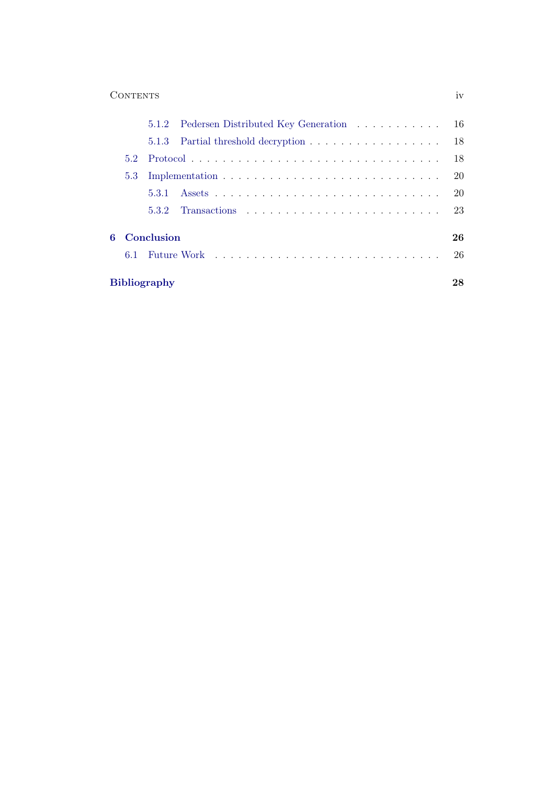## Contents iv

|                                                                                                                                          |     | 5.1.2 Pedersen Distributed Key Generation 16 |    |  |
|------------------------------------------------------------------------------------------------------------------------------------------|-----|----------------------------------------------|----|--|
|                                                                                                                                          |     |                                              |    |  |
| $52^{\circ}$                                                                                                                             |     |                                              | 18 |  |
| 5.3                                                                                                                                      |     |                                              |    |  |
|                                                                                                                                          |     |                                              | 20 |  |
|                                                                                                                                          | 532 |                                              | 23 |  |
| Conclusion<br>В.<br>Future Work Indian Process Communication Communication Communication Communication Communication Communication<br>61 |     |                                              |    |  |
| <b>Bibliography</b>                                                                                                                      |     |                                              |    |  |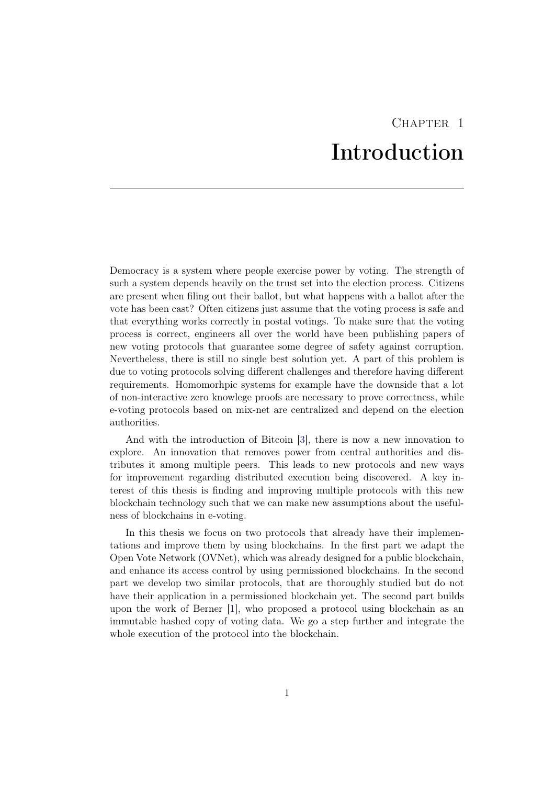# CHAPTER<sub>1</sub> Introduction

<span id="page-5-0"></span>Democracy is a system where people exercise power by voting. The strength of such a system depends heavily on the trust set into the election process. Citizens are present when filing out their ballot, but what happens with a ballot after the vote has been cast? Often citizens just assume that the voting process is safe and that everything works correctly in postal votings. To make sure that the voting process is correct, engineers all over the world have been publishing papers of new voting protocols that guarantee some degree of safety against corruption. Nevertheless, there is still no single best solution yet. A part of this problem is due to voting protocols solving different challenges and therefore having different requirements. Homomorhpic systems for example have the downside that a lot of non-interactive zero knowlege proofs are necessary to prove correctness, while e-voting protocols based on mix-net are centralized and depend on the election authorities.

And with the introduction of Bitcoin [\[3\]](#page-32-3), there is now a new innovation to explore. An innovation that removes power from central authorities and distributes it among multiple peers. This leads to new protocols and new ways for improvement regarding distributed execution being discovered. A key interest of this thesis is finding and improving multiple protocols with this new blockchain technology such that we can make new assumptions about the usefulness of blockchains in e-voting.

In this thesis we focus on two protocols that already have their implementations and improve them by using blockchains. In the first part we adapt the Open Vote Network (OVNet), which was already designed for a public blockchain, and enhance its access control by using permissioned blockchains. In the second part we develop two similar protocols, that are thoroughly studied but do not have their application in a permissioned blockchain yet. The second part builds upon the work of Berner [\[1\]](#page-32-0), who proposed a protocol using blockchain as an immutable hashed copy of voting data. We go a step further and integrate the whole execution of the protocol into the blockchain.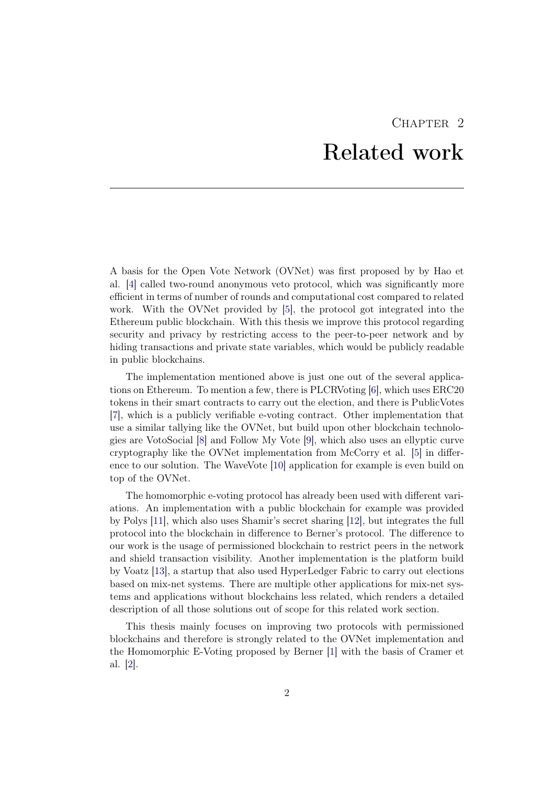# CHAPTER<sub>2</sub> Related work

<span id="page-6-0"></span>A basis for the Open Vote Network (OVNet) was first proposed by by Hao et al. [\[4\]](#page-32-4) called two-round anonymous veto protocol, which was significantly more efficient in terms of number of rounds and computational cost compared to related work. With the OVNet provided by [\[5\]](#page-32-5), the protocol got integrated into the Ethereum public blockchain. With this thesis we improve this protocol regarding security and privacy by restricting access to the peer-to-peer network and by hiding transactions and private state variables, which would be publicly readable in public blockchains.

The implementation mentioned above is just one out of the several applications on Ethereum. To mention a few, there is PLCRVoting [\[6\]](#page-32-6), which uses ERC20 tokens in their smart contracts to carry out the election, and there is PublicVotes [\[7\]](#page-32-7), which is a publicly verifiable e-voting contract. Other implementation that use a similar tallying like the OVNet, but build upon other blockchain technologies are VotoSocial [\[8\]](#page-32-8) and Follow My Vote [\[9\]](#page-32-9), which also uses an ellyptic curve cryptography like the OVNet implementation from McCorry et al. [\[5\]](#page-32-5) in difference to our solution. The WaveVote [\[10\]](#page-32-10) application for example is even build on top of the OVNet.

The homomorphic e-voting protocol has already been used with different variations. An implementation with a public blockchain for example was provided by Polys [\[11\]](#page-32-11), which also uses Shamir's secret sharing [\[12\]](#page-32-12), but integrates the full protocol into the blockchain in difference to Berner's protocol. The difference to our work is the usage of permissioned blockchain to restrict peers in the network and shield transaction visibility. Another implementation is the platform build by Voatz [\[13\]](#page-32-13), a startup that also used HyperLedger Fabric to carry out elections based on mix-net systems. There are multiple other applications for mix-net systems and applications without blockchains less related, which renders a detailed description of all those solutions out of scope for this related work section.

This thesis mainly focuses on improving two protocols with permissioned blockchains and therefore is strongly related to the OVNet implementation and the Homomorphic E-Voting proposed by Berner [\[1\]](#page-32-0) with the basis of Cramer et al. [\[2\]](#page-32-1).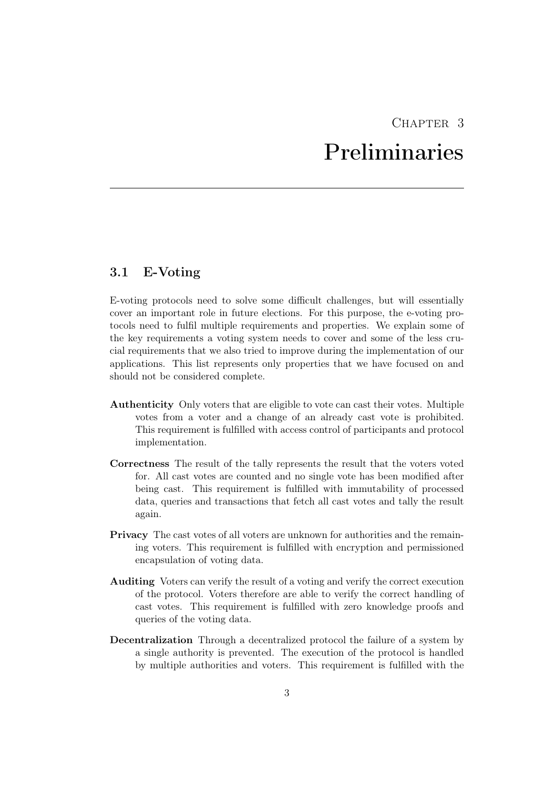# CHAPTER 3 Preliminaries

# <span id="page-7-1"></span><span id="page-7-0"></span>3.1 E-Voting

E-voting protocols need to solve some difficult challenges, but will essentially cover an important role in future elections. For this purpose, the e-voting protocols need to fulfil multiple requirements and properties. We explain some of the key requirements a voting system needs to cover and some of the less crucial requirements that we also tried to improve during the implementation of our applications. This list represents only properties that we have focused on and should not be considered complete.

- Authenticity Only voters that are eligible to vote can cast their votes. Multiple votes from a voter and a change of an already cast vote is prohibited. This requirement is fulfilled with access control of participants and protocol implementation.
- Correctness The result of the tally represents the result that the voters voted for. All cast votes are counted and no single vote has been modified after being cast. This requirement is fulfilled with immutability of processed data, queries and transactions that fetch all cast votes and tally the result again.
- Privacy The cast votes of all voters are unknown for authorities and the remaining voters. This requirement is fulfilled with encryption and permissioned encapsulation of voting data.
- Auditing Voters can verify the result of a voting and verify the correct execution of the protocol. Voters therefore are able to verify the correct handling of cast votes. This requirement is fulfilled with zero knowledge proofs and queries of the voting data.
- Decentralization Through a decentralized protocol the failure of a system by a single authority is prevented. The execution of the protocol is handled by multiple authorities and voters. This requirement is fulfilled with the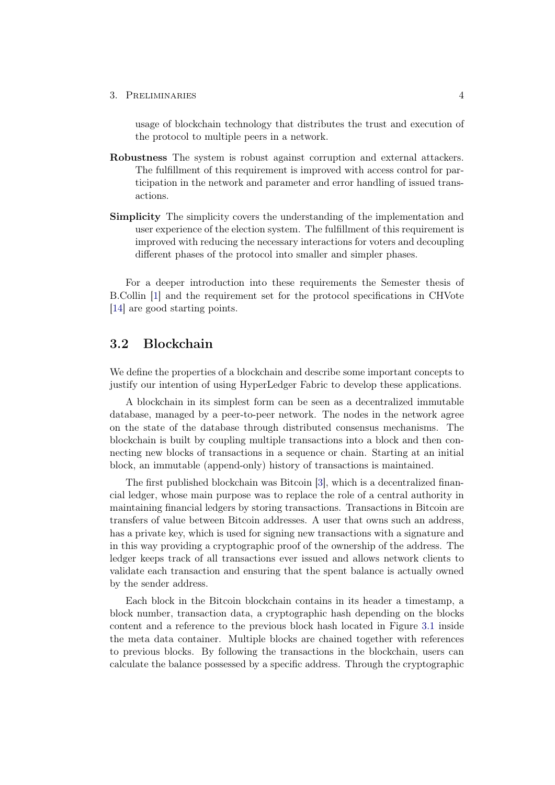3. PRELIMINARIES 4

usage of blockchain technology that distributes the trust and execution of the protocol to multiple peers in a network.

- Robustness The system is robust against corruption and external attackers. The fulfillment of this requirement is improved with access control for participation in the network and parameter and error handling of issued transactions.
- Simplicity The simplicity covers the understanding of the implementation and user experience of the election system. The fulfillment of this requirement is improved with reducing the necessary interactions for voters and decoupling different phases of the protocol into smaller and simpler phases.

For a deeper introduction into these requirements the Semester thesis of B.Collin [\[1\]](#page-32-0) and the requirement set for the protocol specifications in CHVote [\[14\]](#page-33-0) are good starting points.

# <span id="page-8-0"></span>3.2 Blockchain

We define the properties of a blockchain and describe some important concepts to justify our intention of using HyperLedger Fabric to develop these applications.

A blockchain in its simplest form can be seen as a decentralized immutable database, managed by a peer-to-peer network. The nodes in the network agree on the state of the database through distributed consensus mechanisms. The blockchain is built by coupling multiple transactions into a block and then connecting new blocks of transactions in a sequence or chain. Starting at an initial block, an immutable (append-only) history of transactions is maintained.

The first published blockchain was Bitcoin [\[3\]](#page-32-3), which is a decentralized financial ledger, whose main purpose was to replace the role of a central authority in maintaining financial ledgers by storing transactions. Transactions in Bitcoin are transfers of value between Bitcoin addresses. A user that owns such an address, has a private key, which is used for signing new transactions with a signature and in this way providing a cryptographic proof of the ownership of the address. The ledger keeps track of all transactions ever issued and allows network clients to validate each transaction and ensuring that the spent balance is actually owned by the sender address.

Each block in the Bitcoin blockchain contains in its header a timestamp, a block number, transaction data, a cryptographic hash depending on the blocks content and a reference to the previous block hash located in Figure [3.1](#page-9-1) inside the meta data container. Multiple blocks are chained together with references to previous blocks. By following the transactions in the blockchain, users can calculate the balance possessed by a specific address. Through the cryptographic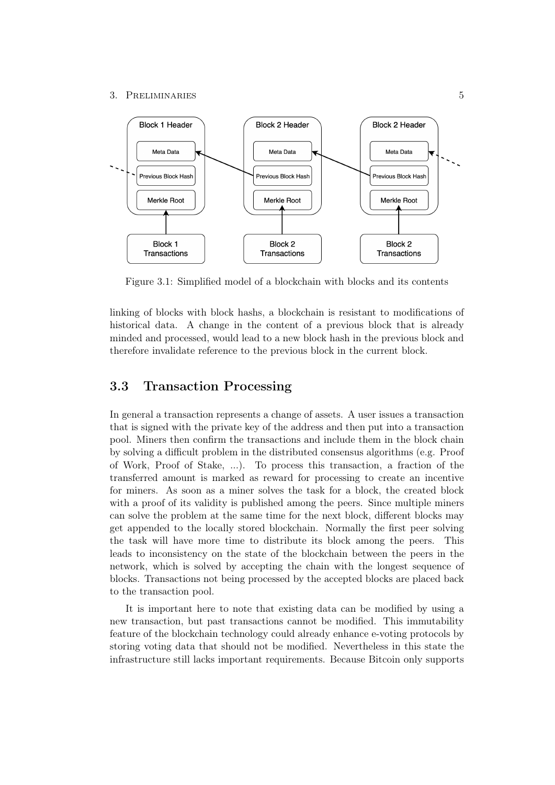#### 3. PRELIMINARIES 5



<span id="page-9-1"></span>Figure 3.1: Simplified model of a blockchain with blocks and its contents

linking of blocks with block hashs, a blockchain is resistant to modifications of historical data. A change in the content of a previous block that is already minded and processed, would lead to a new block hash in the previous block and therefore invalidate reference to the previous block in the current block.

## <span id="page-9-0"></span>3.3 Transaction Processing

In general a transaction represents a change of assets. A user issues a transaction that is signed with the private key of the address and then put into a transaction pool. Miners then confirm the transactions and include them in the block chain by solving a difficult problem in the distributed consensus algorithms (e.g. Proof of Work, Proof of Stake, ...). To process this transaction, a fraction of the transferred amount is marked as reward for processing to create an incentive for miners. As soon as a miner solves the task for a block, the created block with a proof of its validity is published among the peers. Since multiple miners can solve the problem at the same time for the next block, different blocks may get appended to the locally stored blockchain. Normally the first peer solving the task will have more time to distribute its block among the peers. This leads to inconsistency on the state of the blockchain between the peers in the network, which is solved by accepting the chain with the longest sequence of blocks. Transactions not being processed by the accepted blocks are placed back to the transaction pool.

It is important here to note that existing data can be modified by using a new transaction, but past transactions cannot be modified. This immutability feature of the blockchain technology could already enhance e-voting protocols by storing voting data that should not be modified. Nevertheless in this state the infrastructure still lacks important requirements. Because Bitcoin only supports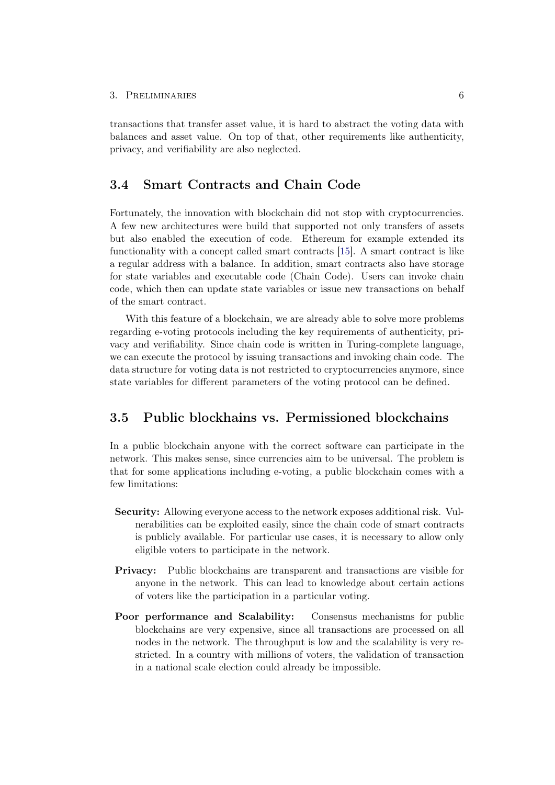transactions that transfer asset value, it is hard to abstract the voting data with balances and asset value. On top of that, other requirements like authenticity, privacy, and verifiability are also neglected.

## <span id="page-10-0"></span>3.4 Smart Contracts and Chain Code

Fortunately, the innovation with blockchain did not stop with cryptocurrencies. A few new architectures were build that supported not only transfers of assets but also enabled the execution of code. Ethereum for example extended its functionality with a concept called smart contracts [\[15\]](#page-33-1). A smart contract is like a regular address with a balance. In addition, smart contracts also have storage for state variables and executable code (Chain Code). Users can invoke chain code, which then can update state variables or issue new transactions on behalf of the smart contract.

With this feature of a blockchain, we are already able to solve more problems regarding e-voting protocols including the key requirements of authenticity, privacy and verifiability. Since chain code is written in Turing-complete language, we can execute the protocol by issuing transactions and invoking chain code. The data structure for voting data is not restricted to cryptocurrencies anymore, since state variables for different parameters of the voting protocol can be defined.

# <span id="page-10-1"></span>3.5 Public blockhains vs. Permissioned blockchains

In a public blockchain anyone with the correct software can participate in the network. This makes sense, since currencies aim to be universal. The problem is that for some applications including e-voting, a public blockchain comes with a few limitations:

- Security: Allowing everyone access to the network exposes additional risk. Vulnerabilities can be exploited easily, since the chain code of smart contracts is publicly available. For particular use cases, it is necessary to allow only eligible voters to participate in the network.
- Privacy: Public blockchains are transparent and transactions are visible for anyone in the network. This can lead to knowledge about certain actions of voters like the participation in a particular voting.
- Poor performance and Scalability: Consensus mechanisms for public blockchains are very expensive, since all transactions are processed on all nodes in the network. The throughput is low and the scalability is very restricted. In a country with millions of voters, the validation of transaction in a national scale election could already be impossible.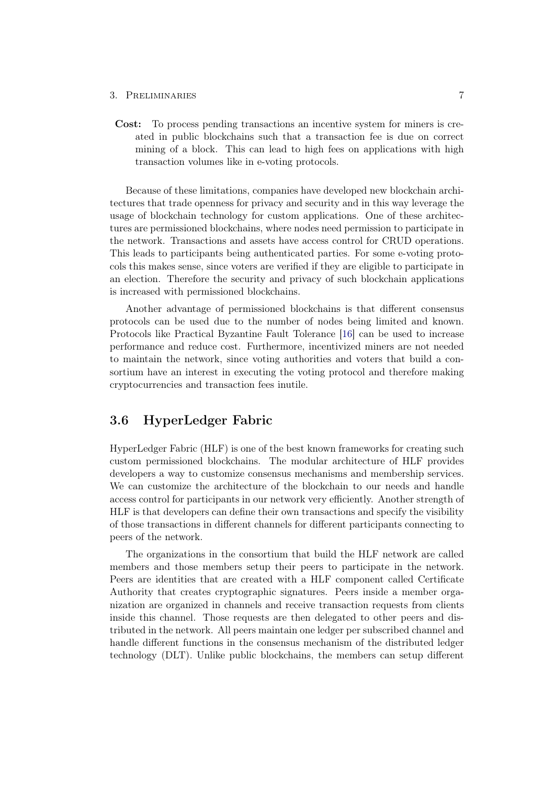#### 3. PRELIMINARIES 7

Cost: To process pending transactions an incentive system for miners is created in public blockchains such that a transaction fee is due on correct mining of a block. This can lead to high fees on applications with high transaction volumes like in e-voting protocols.

Because of these limitations, companies have developed new blockchain architectures that trade openness for privacy and security and in this way leverage the usage of blockchain technology for custom applications. One of these architectures are permissioned blockchains, where nodes need permission to participate in the network. Transactions and assets have access control for CRUD operations. This leads to participants being authenticated parties. For some e-voting protocols this makes sense, since voters are verified if they are eligible to participate in an election. Therefore the security and privacy of such blockchain applications is increased with permissioned blockchains.

Another advantage of permissioned blockchains is that different consensus protocols can be used due to the number of nodes being limited and known. Protocols like Practical Byzantine Fault Tolerance [\[16\]](#page-33-2) can be used to increase performance and reduce cost. Furthermore, incentivized miners are not needed to maintain the network, since voting authorities and voters that build a consortium have an interest in executing the voting protocol and therefore making cryptocurrencies and transaction fees inutile.

## <span id="page-11-0"></span>3.6 HyperLedger Fabric

HyperLedger Fabric (HLF) is one of the best known frameworks for creating such custom permissioned blockchains. The modular architecture of HLF provides developers a way to customize consensus mechanisms and membership services. We can customize the architecture of the blockchain to our needs and handle access control for participants in our network very efficiently. Another strength of HLF is that developers can define their own transactions and specify the visibility of those transactions in different channels for different participants connecting to peers of the network.

The organizations in the consortium that build the HLF network are called members and those members setup their peers to participate in the network. Peers are identities that are created with a HLF component called Certificate Authority that creates cryptographic signatures. Peers inside a member organization are organized in channels and receive transaction requests from clients inside this channel. Those requests are then delegated to other peers and distributed in the network. All peers maintain one ledger per subscribed channel and handle different functions in the consensus mechanism of the distributed ledger technology (DLT). Unlike public blockchains, the members can setup different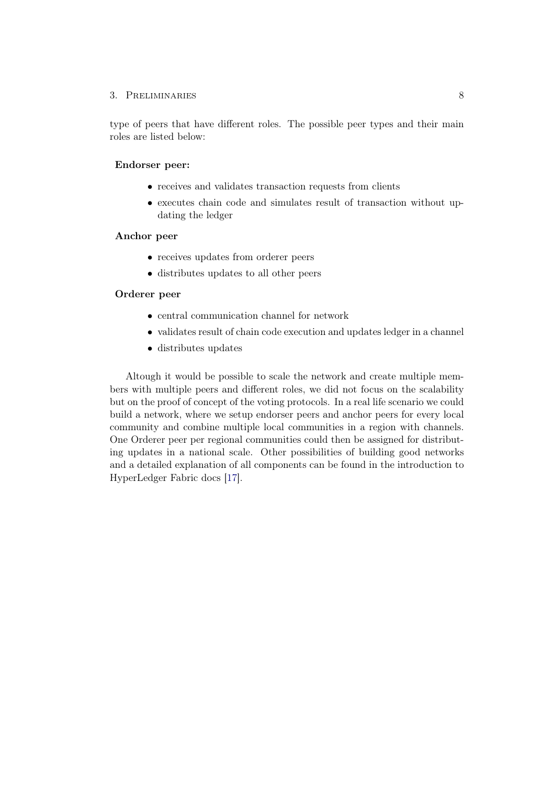### 3. Preliminaries 8

type of peers that have different roles. The possible peer types and their main roles are listed below:

### Endorser peer:

- receives and validates transaction requests from clients
- executes chain code and simulates result of transaction without updating the ledger

### Anchor peer

- receives updates from orderer peers
- distributes updates to all other peers

### Orderer peer

- central communication channel for network
- validates result of chain code execution and updates ledger in a channel
- distributes updates

Altough it would be possible to scale the network and create multiple members with multiple peers and different roles, we did not focus on the scalability but on the proof of concept of the voting protocols. In a real life scenario we could build a network, where we setup endorser peers and anchor peers for every local community and combine multiple local communities in a region with channels. One Orderer peer per regional communities could then be assigned for distributing updates in a national scale. Other possibilities of building good networks and a detailed explanation of all components can be found in the introduction to HyperLedger Fabric docs [\[17\]](#page-33-3).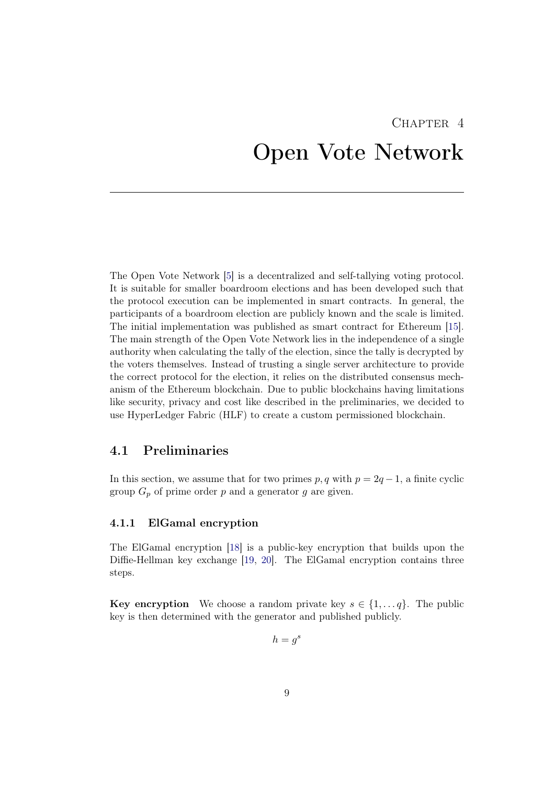# <span id="page-13-0"></span>CHAPTER<sub>4</sub> Open Vote Network

The Open Vote Network [\[5\]](#page-32-5) is a decentralized and self-tallying voting protocol. It is suitable for smaller boardroom elections and has been developed such that the protocol execution can be implemented in smart contracts. In general, the participants of a boardroom election are publicly known and the scale is limited. The initial implementation was published as smart contract for Ethereum [\[15\]](#page-33-1). The main strength of the Open Vote Network lies in the independence of a single authority when calculating the tally of the election, since the tally is decrypted by the voters themselves. Instead of trusting a single server architecture to provide the correct protocol for the election, it relies on the distributed consensus mechanism of the Ethereum blockchain. Due to public blockchains having limitations like security, privacy and cost like described in the preliminaries, we decided to use HyperLedger Fabric (HLF) to create a custom permissioned blockchain.

## <span id="page-13-1"></span>4.1 Preliminaries

In this section, we assume that for two primes  $p, q$  with  $p = 2q - 1$ , a finite cyclic group  $G_p$  of prime order p and a generator g are given.

### <span id="page-13-2"></span>4.1.1 ElGamal encryption

The ElGamal encryption [\[18\]](#page-33-4) is a public-key encryption that builds upon the Diffie-Hellman key exchange [\[19,](#page-33-5) [20\]](#page-33-6). The ElGamal encryption contains three steps.

**Key encryption** We choose a random private key  $s \in \{1, \ldots q\}$ . The public key is then determined with the generator and published publicly.

$$
h=g^s
$$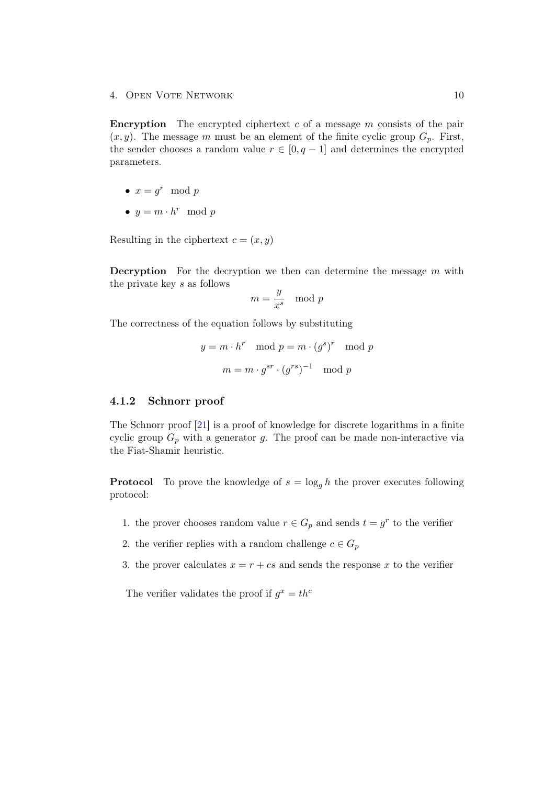4. OPEN VOTE NETWORK 10

**Encryption** The encrypted ciphertext  $c$  of a message  $m$  consists of the pair  $(x, y)$ . The message m must be an element of the finite cyclic group  $G_p$ . First, the sender chooses a random value  $r \in [0, q-1]$  and determines the encrypted parameters.

- $x = g^r \mod p$
- $y = m \cdot h^r \mod p$

Resulting in the ciphertext  $c = (x, y)$ 

**Decryption** For the decryption we then can determine the message  $m$  with the private key s as follows

$$
m = \frac{y}{x^s} \mod p
$$

The correctness of the equation follows by substituting

$$
y = m \cdot h^r \mod p = m \cdot (g^s)^r \mod p
$$
  
 $m = m \cdot g^{sr} \cdot (g^{rs})^{-1} \mod p$ 

### <span id="page-14-0"></span>4.1.2 Schnorr proof

The Schnorr proof [\[21\]](#page-33-7) is a proof of knowledge for discrete logarithms in a finite cyclic group  $G_p$  with a generator g. The proof can be made non-interactive via the Fiat-Shamir heuristic.

**Protocol** To prove the knowledge of  $s = \log_a h$  the prover executes following protocol:

- 1. the prover chooses random value  $r \in G_p$  and sends  $t = g^r$  to the verifier
- 2. the verifier replies with a random challenge  $c \in G_p$
- 3. the prover calculates  $x = r + cs$  and sends the response x to the verifier

The verifier validates the proof if  $g^x = th^c$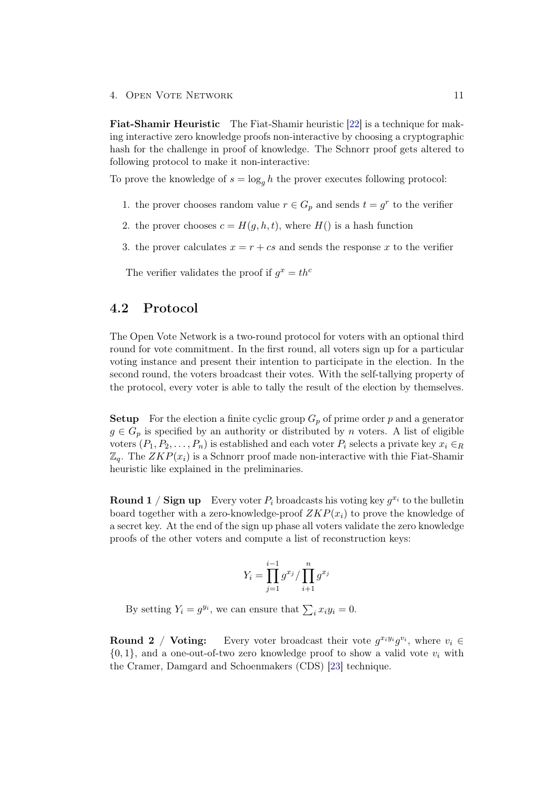4. Open Vote Network 11

Fiat-Shamir Heuristic The Fiat-Shamir heuristic [\[22\]](#page-33-8) is a technique for making interactive zero knowledge proofs non-interactive by choosing a cryptographic hash for the challenge in proof of knowledge. The Schnorr proof gets altered to following protocol to make it non-interactive:

To prove the knowledge of  $s = \log_a h$  the prover executes following protocol:

- 1. the prover chooses random value  $r \in G_p$  and sends  $t = g^r$  to the verifier
- 2. the prover chooses  $c = H(g, h, t)$ , where  $H()$  is a hash function
- 3. the prover calculates  $x = r + cs$  and sends the response x to the verifier

The verifier validates the proof if  $g^x = th^c$ 

## <span id="page-15-0"></span>4.2 Protocol

The Open Vote Network is a two-round protocol for voters with an optional third round for vote commitment. In the first round, all voters sign up for a particular voting instance and present their intention to participate in the election. In the second round, the voters broadcast their votes. With the self-tallying property of the protocol, every voter is able to tally the result of the election by themselves.

**Setup** For the election a finite cyclic group  $G_p$  of prime order p and a generator  $g \in G_p$  is specified by an authority or distributed by n voters. A list of eligible voters  $(P_1, P_2, \ldots, P_n)$  is established and each voter  $P_i$  selects a private key  $x_i \in_R$  $\mathbb{Z}_q$ . The  $ZKP(x_i)$  is a Schnorr proof made non-interactive with thie Fiat-Shamir heuristic like explained in the preliminaries.

**Round 1** / Sign up Every voter  $P_i$  broadcasts his voting key  $g^{x_i}$  to the bulletin board together with a zero-knowledge-proof  $ZKP(x_i)$  to prove the knowledge of a secret key. At the end of the sign up phase all voters validate the zero knowledge proofs of the other voters and compute a list of reconstruction keys:

$$
Y_i = \prod_{j=1}^{i-1} g^{x_j} / \prod_{i+1}^{n} g^{x_j}
$$

By setting  $Y_i = g^{y_i}$ , we can ensure that  $\sum_i x_i y_i = 0$ .

**Round 2** / **Voting:** Every voter broadcast their vote  $g^{x_i y_i} g^{v_i}$ , where  $v_i \in$  $\{0, 1\}$ , and a one-out-of-two zero knowledge proof to show a valid vote  $v_i$  with the Cramer, Damgard and Schoenmakers (CDS) [\[23\]](#page-33-9) technique.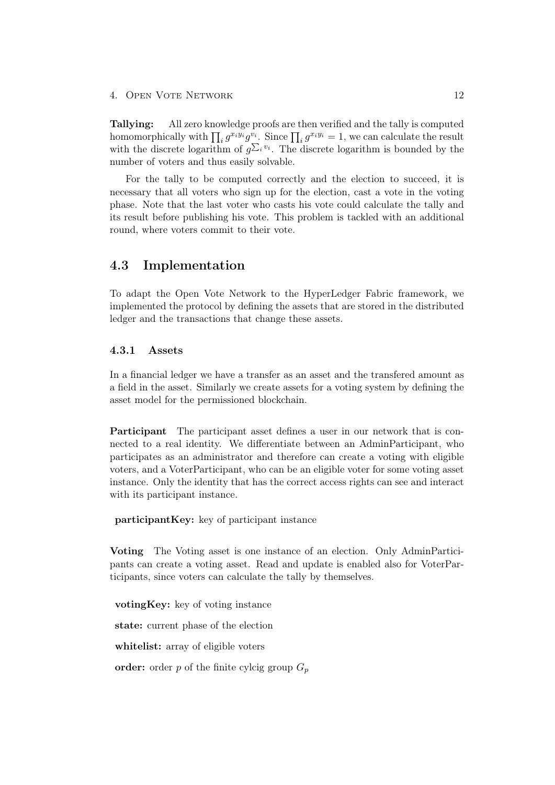Tallying: All zero knowledge proofs are then verified and the tally is computed homomorphically with  $\prod_i g^{x_i y_i} g^{v_i}$ . Since  $\prod_i g^{x_i y_i} = 1$ , we can calculate the result with the discrete logarithm of  $g^{\sum_i v_i}$ . The discrete logarithm is bounded by the number of voters and thus easily solvable.

For the tally to be computed correctly and the election to succeed, it is necessary that all voters who sign up for the election, cast a vote in the voting phase. Note that the last voter who casts his vote could calculate the tally and its result before publishing his vote. This problem is tackled with an additional round, where voters commit to their vote.

## <span id="page-16-0"></span>4.3 Implementation

To adapt the Open Vote Network to the HyperLedger Fabric framework, we implemented the protocol by defining the assets that are stored in the distributed ledger and the transactions that change these assets.

## <span id="page-16-1"></span>4.3.1 Assets

In a financial ledger we have a transfer as an asset and the transfered amount as a field in the asset. Similarly we create assets for a voting system by defining the asset model for the permissioned blockchain.

Participant The participant asset defines a user in our network that is connected to a real identity. We differentiate between an AdminParticipant, who participates as an administrator and therefore can create a voting with eligible voters, and a VoterParticipant, who can be an eligible voter for some voting asset instance. Only the identity that has the correct access rights can see and interact with its participant instance.

participantKey: key of participant instance

Voting The Voting asset is one instance of an election. Only AdminParticipants can create a voting asset. Read and update is enabled also for VoterParticipants, since voters can calculate the tally by themselves.

votingKey: key of voting instance

state: current phase of the election

whitelist: array of eligible voters

order: order p of the finite cylcig group  $G_p$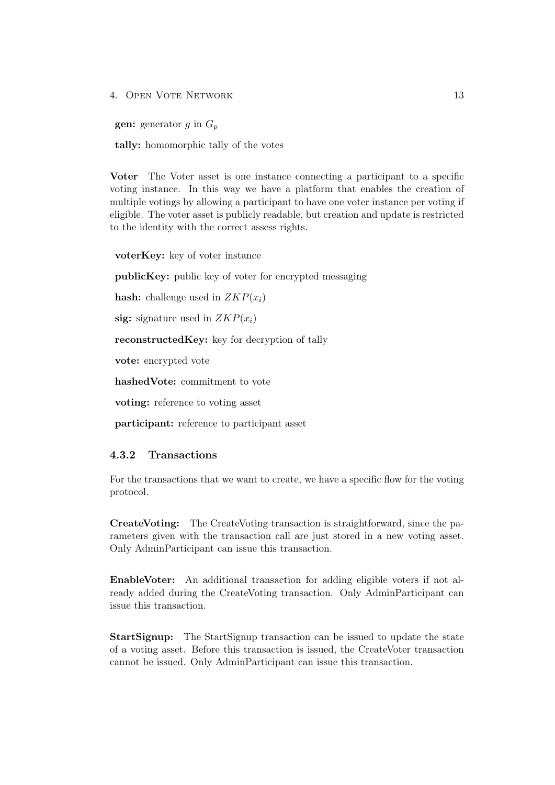4. Open Vote Network 13

**gen:** generator g in  $G_p$ 

tally: homomorphic tally of the votes

Voter The Voter asset is one instance connecting a participant to a specific voting instance. In this way we have a platform that enables the creation of multiple votings by allowing a participant to have one voter instance per voting if eligible. The voter asset is publicly readable, but creation and update is restricted to the identity with the correct assess rights.

voterKey: key of voter instance

publicKey: public key of voter for encrypted messaging

hash: challenge used in  $ZKP(x_i)$ 

sig: signature used in  $ZKP(x_i)$ 

reconstructedKey: key for decryption of tally

vote: encrypted vote

hashedVote: commitment to vote

voting: reference to voting asset

participant: reference to participant asset

### <span id="page-17-0"></span>4.3.2 Transactions

For the transactions that we want to create, we have a specific flow for the voting protocol.

CreateVoting: The CreateVoting transaction is straightforward, since the parameters given with the transaction call are just stored in a new voting asset. Only AdminParticipant can issue this transaction.

EnableVoter: An additional transaction for adding eligible voters if not already added during the CreateVoting transaction. Only AdminParticipant can issue this transaction.

StartSignup: The StartSignup transaction can be issued to update the state of a voting asset. Before this transaction is issued, the CreateVoter transaction cannot be issued. Only AdminParticipant can issue this transaction.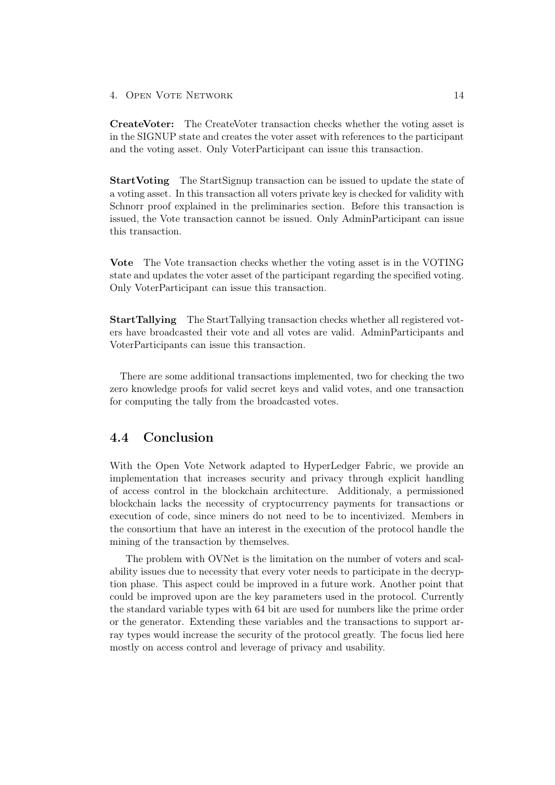### 4. Open Vote Network 14

CreateVoter: The CreateVoter transaction checks whether the voting asset is in the SIGNUP state and creates the voter asset with references to the participant and the voting asset. Only VoterParticipant can issue this transaction.

StartVoting The StartSignup transaction can be issued to update the state of a voting asset. In this transaction all voters private key is checked for validity with Schnorr proof explained in the preliminaries section. Before this transaction is issued, the Vote transaction cannot be issued. Only AdminParticipant can issue this transaction.

Vote The Vote transaction checks whether the voting asset is in the VOTING state and updates the voter asset of the participant regarding the specified voting. Only VoterParticipant can issue this transaction.

StartTallying The StartTallying transaction checks whether all registered voters have broadcasted their vote and all votes are valid. AdminParticipants and VoterParticipants can issue this transaction.

There are some additional transactions implemented, two for checking the two zero knowledge proofs for valid secret keys and valid votes, and one transaction for computing the tally from the broadcasted votes.

## <span id="page-18-0"></span>4.4 Conclusion

With the Open Vote Network adapted to HyperLedger Fabric, we provide an implementation that increases security and privacy through explicit handling of access control in the blockchain architecture. Additionaly, a permissioned blockchain lacks the necessity of cryptocurrency payments for transactions or execution of code, since miners do not need to be to incentivized. Members in the consortium that have an interest in the execution of the protocol handle the mining of the transaction by themselves.

The problem with OVNet is the limitation on the number of voters and scalability issues due to necessity that every voter needs to participate in the decryption phase. This aspect could be improved in a future work. Another point that could be improved upon are the key parameters used in the protocol. Currently the standard variable types with 64 bit are used for numbers like the prime order or the generator. Extending these variables and the transactions to support array types would increase the security of the protocol greatly. The focus lied here mostly on access control and leverage of privacy and usability.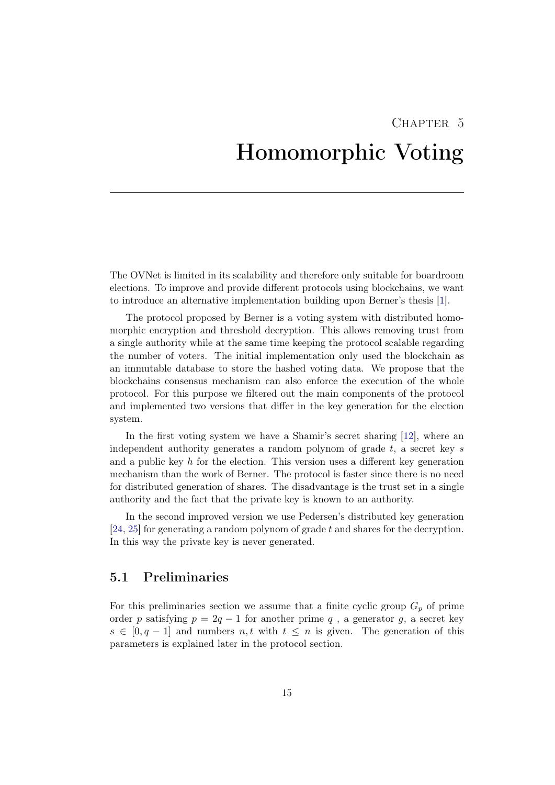# <span id="page-19-0"></span>CHAPTER<sub>5</sub> Homomorphic Voting

The OVNet is limited in its scalability and therefore only suitable for boardroom elections. To improve and provide different protocols using blockchains, we want to introduce an alternative implementation building upon Berner's thesis [\[1\]](#page-32-0).

The protocol proposed by Berner is a voting system with distributed homomorphic encryption and threshold decryption. This allows removing trust from a single authority while at the same time keeping the protocol scalable regarding the number of voters. The initial implementation only used the blockchain as an immutable database to store the hashed voting data. We propose that the blockchains consensus mechanism can also enforce the execution of the whole protocol. For this purpose we filtered out the main components of the protocol and implemented two versions that differ in the key generation for the election system.

In the first voting system we have a Shamir's secret sharing [\[12\]](#page-32-12), where an independent authority generates a random polynom of grade  $t$ , a secret key s and a public key h for the election. This version uses a different key generation mechanism than the work of Berner. The protocol is faster since there is no need for distributed generation of shares. The disadvantage is the trust set in a single authority and the fact that the private key is known to an authority.

In the second improved version we use Pedersen's distributed key generation [\[24,](#page-33-10) [25\]](#page-33-11) for generating a random polynom of grade t and shares for the decryption. In this way the private key is never generated.

## <span id="page-19-1"></span>5.1 Preliminaries

For this preliminaries section we assume that a finite cyclic group  $G_p$  of prime order p satisfying  $p = 2q - 1$  for another prime q, a generator g, a secret key  $s \in [0, q-1]$  and numbers n, t with  $t \leq n$  is given. The generation of this parameters is explained later in the protocol section.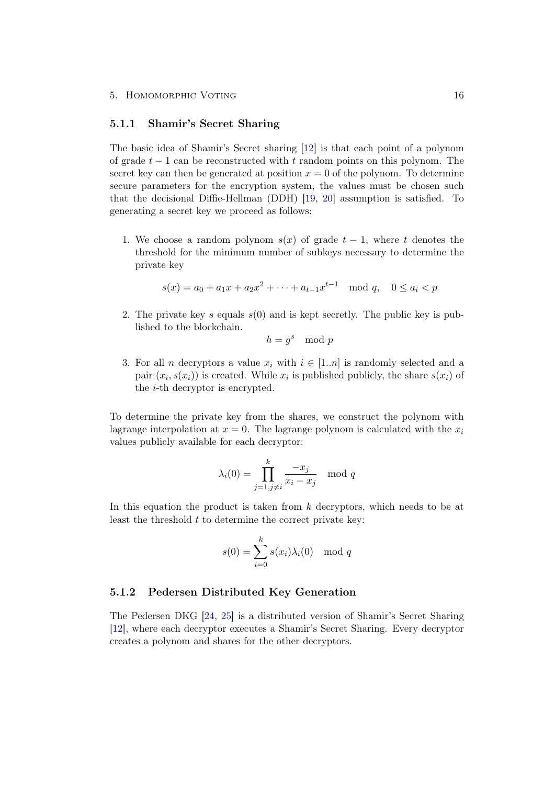### <span id="page-20-0"></span>5.1.1 Shamir's Secret Sharing

The basic idea of Shamir's Secret sharing [\[12\]](#page-32-12) is that each point of a polynom of grade  $t-1$  can be reconstructed with t random points on this polynom. The secret key can then be generated at position  $x = 0$  of the polynom. To determine secure parameters for the encryption system, the values must be chosen such that the decisional Diffie-Hellman (DDH) [\[19,](#page-33-5) [20\]](#page-33-6) assumption is satisfied. To generating a secret key we proceed as follows:

1. We choose a random polynom  $s(x)$  of grade  $t-1$ , where t denotes the threshold for the minimum number of subkeys necessary to determine the private key

$$
s(x) = a_0 + a_1 x + a_2 x^2 + \dots + a_{t-1} x^{t-1} \mod q, \quad 0 \le a_i < p
$$

2. The private key s equals  $s(0)$  and is kept secretly. The public key is published to the blockchain.

$$
h = g^s \mod p
$$

3. For all *n* decryptors a value  $x_i$  with  $i \in [1..n]$  is randomly selected and a pair  $(x_i, s(x_i))$  is created. While  $x_i$  is published publicly, the share  $s(x_i)$  of the i-th decryptor is encrypted.

To determine the private key from the shares, we construct the polynom with lagrange interpolation at  $x = 0$ . The lagrange polynom is calculated with the  $x_i$ values publicly available for each decryptor:

$$
\lambda_i(0) = \prod_{j=1, j \neq i}^k \frac{-x_j}{x_i - x_j} \mod q
$$

In this equation the product is taken from k decryptors, which needs to be at least the threshold  $t$  to determine the correct private key:

$$
s(0) = \sum_{i=0}^{k} s(x_i)\lambda_i(0) \mod q
$$

### <span id="page-20-1"></span>5.1.2 Pedersen Distributed Key Generation

The Pedersen DKG [\[24,](#page-33-10) [25\]](#page-33-11) is a distributed version of Shamir's Secret Sharing [\[12\]](#page-32-12), where each decryptor executes a Shamir's Secret Sharing. Every decryptor creates a polynom and shares for the other decryptors.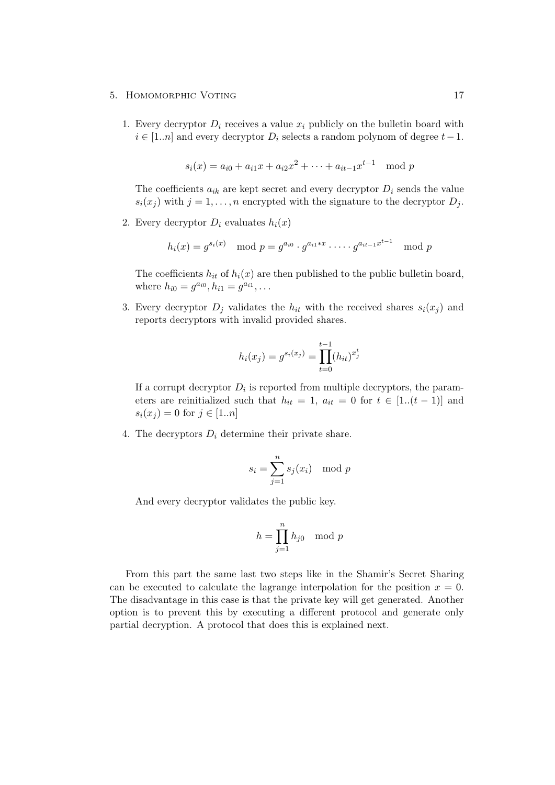#### 5. HOMOMORPHIC VOTING 17

1. Every decryptor  $D_i$  receives a value  $x_i$  publicly on the bulletin board with  $i \in [1..n]$  and every decryptor  $D_i$  selects a random polynom of degree  $t-1$ .

$$
s_i(x) = a_{i0} + a_{i1}x + a_{i2}x^2 + \dots + a_{it-1}x^{t-1} \mod p
$$

The coefficients  $a_{ik}$  are kept secret and every decryptor  $D_i$  sends the value  $s_i(x_j)$  with  $j = 1, ..., n$  encrypted with the signature to the decryptor  $D_j$ .

2. Every decryptor  $D_i$  evaluates  $h_i(x)$ 

$$
h_i(x) = g^{s_i(x)}
$$
 mod  $p = g^{a_{i0}} \cdot g^{a_{i1} \cdot x} \cdot \dots \cdot g^{a_{it-1} x^{t-1}}$  mod  $p$ 

The coefficients  $h_{it}$  of  $h_i(x)$  are then published to the public bulletin board, where  $h_{i0} = g^{a_{i0}}, h_{i1} = g^{a_{i1}}, \ldots$ 

3. Every decryptor  $D_j$  validates the  $h_{it}$  with the received shares  $s_i(x_j)$  and reports decryptors with invalid provided shares.

$$
h_i(x_j) = g^{s_i(x_j)} = \prod_{t=0}^{t-1} (h_{it})^{x_j^t}
$$

If a corrupt decryptor  $D_i$  is reported from multiple decryptors, the parameters are reinitialized such that  $h_{it} = 1$ ,  $a_{it} = 0$  for  $t \in [1..(t-1)]$  and  $s_i(x_j) = 0$  for  $j \in [1..n]$ 

4. The decryptors  $D_i$  determine their private share.

$$
s_i = \sum_{j=1}^n s_j(x_i) \mod p
$$

And every decryptor validates the public key.

$$
h = \prod_{j=1}^{n} h_{j0} \mod p
$$

From this part the same last two steps like in the Shamir's Secret Sharing can be executed to calculate the lagrange interpolation for the position  $x = 0$ . The disadvantage in this case is that the private key will get generated. Another option is to prevent this by executing a different protocol and generate only partial decryption. A protocol that does this is explained next.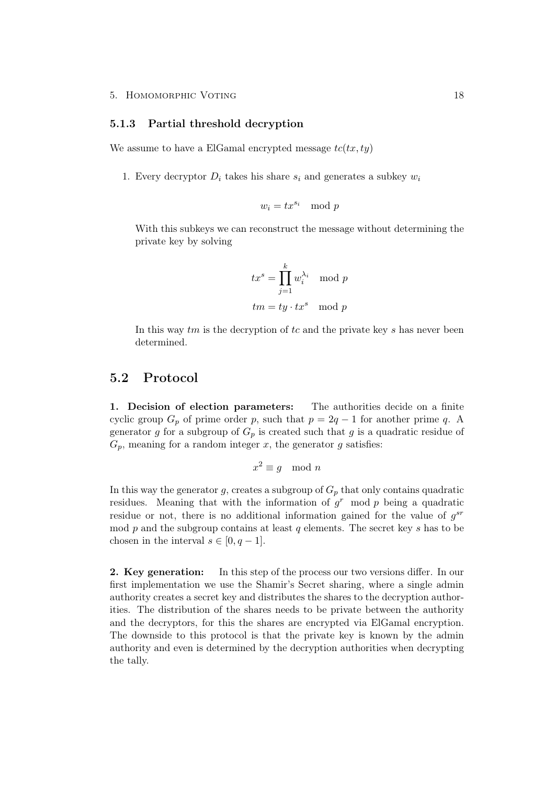### <span id="page-22-0"></span>5.1.3 Partial threshold decryption

We assume to have a ElGamal encrypted message  $tc(tx, ty)$ 

1. Every decryptor  $D_i$  takes his share  $s_i$  and generates a subkey  $w_i$ 

$$
w_i = t x^{s_i} \mod p
$$

With this subkeys we can reconstruct the message without determining the private key by solving

$$
tx^s = \prod_{j=1}^k w_i^{\lambda_i} \mod p
$$
  

$$
tm = ty \cdot tx^s \mod p
$$

In this way  $tm$  is the decryption of  $tc$  and the private key  $s$  has never been determined.

## <span id="page-22-1"></span>5.2 Protocol

1. Decision of election parameters: The authorities decide on a finite cyclic group  $G_p$  of prime order p, such that  $p = 2q - 1$  for another prime q. A generator g for a subgroup of  $G_p$  is created such that g is a quadratic residue of  $G_p$ , meaning for a random integer x, the generator g satisfies:

$$
x^2 \equiv g \mod n
$$

In this way the generator g, creates a subgroup of  $G_p$  that only contains quadratic residues. Meaning that with the information of  $g<sup>r</sup>$  mod p being a quadratic residue or not, there is no additional information gained for the value of  $g^{sr}$ mod  $p$  and the subgroup contains at least  $q$  elements. The secret key  $s$  has to be chosen in the interval  $s \in [0, q-1]$ .

2. Key generation: In this step of the process our two versions differ. In our first implementation we use the Shamir's Secret sharing, where a single admin authority creates a secret key and distributes the shares to the decryption authorities. The distribution of the shares needs to be private between the authority and the decryptors, for this the shares are encrypted via ElGamal encryption. The downside to this protocol is that the private key is known by the admin authority and even is determined by the decryption authorities when decrypting the tally.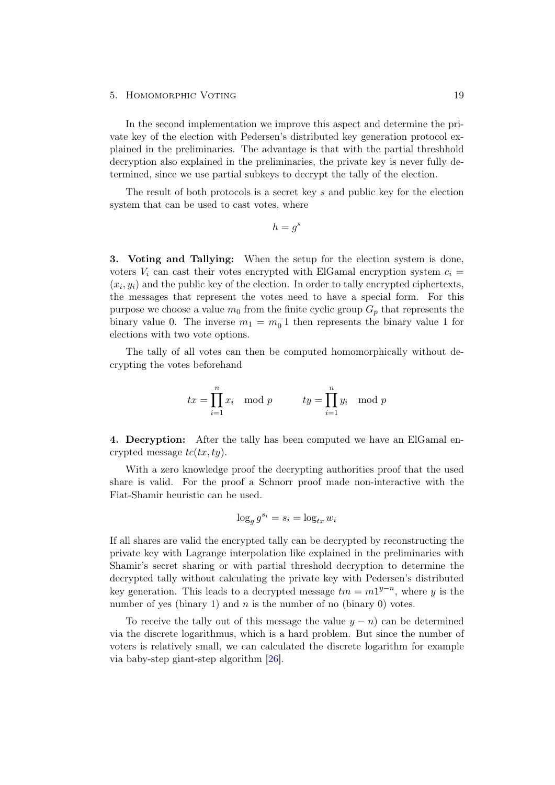In the second implementation we improve this aspect and determine the private key of the election with Pedersen's distributed key generation protocol explained in the preliminaries. The advantage is that with the partial threshhold decryption also explained in the preliminaries, the private key is never fully determined, since we use partial subkeys to decrypt the tally of the election.

The result of both protocols is a secret key s and public key for the election system that can be used to cast votes, where

$$
h = g^s
$$

3. Voting and Tallying: When the setup for the election system is done, voters  $V_i$  can cast their votes encrypted with ElGamal encryption system  $c_i =$  $(x_i, y_i)$  and the public key of the election. In order to tally encrypted ciphertexts, the messages that represent the votes need to have a special form. For this purpose we choose a value  $m_0$  from the finite cyclic group  $G_p$  that represents the binary value 0. The inverse  $m_1 = m_0^{-1}$  then represents the binary value 1 for elections with two vote options.

The tally of all votes can then be computed homomorphically without decrypting the votes beforehand

$$
tx = \prod_{i=1}^{n} x_i \mod p \qquad \qquad ty = \prod_{i=1}^{n} y_i \mod p
$$

4. Decryption: After the tally has been computed we have an ElGamal encrypted message  $tc(tx, ty)$ .

With a zero knowledge proof the decrypting authorities proof that the used share is valid. For the proof a Schnorr proof made non-interactive with the Fiat-Shamir heuristic can be used.

$$
\log_g g^{s_i} = s_i = \log_{tx} w_i
$$

If all shares are valid the encrypted tally can be decrypted by reconstructing the private key with Lagrange interpolation like explained in the preliminaries with Shamir's secret sharing or with partial threshold decryption to determine the decrypted tally without calculating the private key with Pedersen's distributed key generation. This leads to a decrypted message  $tm = m1^{y-n}$ , where y is the number of yes (binary 1) and  $n$  is the number of no (binary 0) votes.

To receive the tally out of this message the value  $y - n$  can be determined via the discrete logarithmus, which is a hard problem. But since the number of voters is relatively small, we can calculated the discrete logarithm for example via baby-step giant-step algorithm [\[26\]](#page-33-12).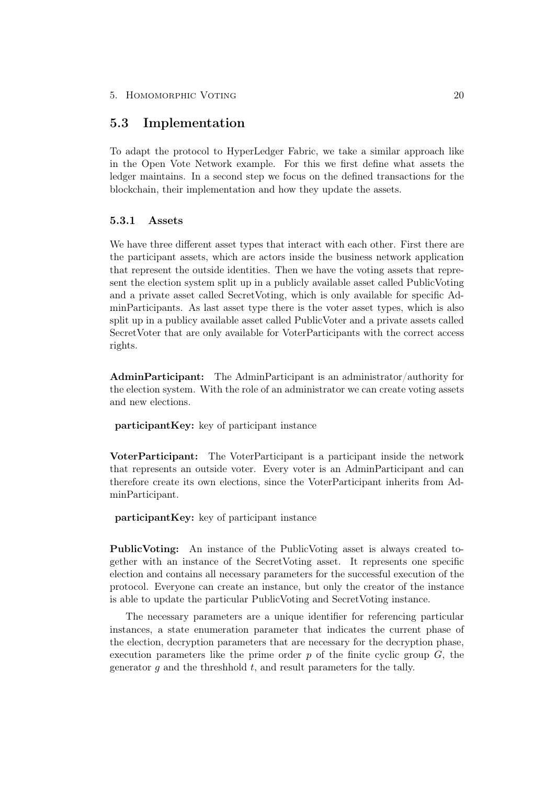## <span id="page-24-0"></span>5.3 Implementation

To adapt the protocol to HyperLedger Fabric, we take a similar approach like in the Open Vote Network example. For this we first define what assets the ledger maintains. In a second step we focus on the defined transactions for the blockchain, their implementation and how they update the assets.

## <span id="page-24-1"></span>5.3.1 Assets

We have three different asset types that interact with each other. First there are the participant assets, which are actors inside the business network application that represent the outside identities. Then we have the voting assets that represent the election system split up in a publicly available asset called PublicVoting and a private asset called SecretVoting, which is only available for specific AdminParticipants. As last asset type there is the voter asset types, which is also split up in a publicy available asset called PublicVoter and a private assets called SecretVoter that are only available for VoterParticipants with the correct access rights.

AdminParticipant: The AdminParticipant is an administrator/authority for the election system. With the role of an administrator we can create voting assets and new elections.

participantKey: key of participant instance

VoterParticipant: The VoterParticipant is a participant inside the network that represents an outside voter. Every voter is an AdminParticipant and can therefore create its own elections, since the VoterParticipant inherits from AdminParticipant.

participantKey: key of participant instance

PublicVoting: An instance of the PublicVoting asset is always created together with an instance of the SecretVoting asset. It represents one specific election and contains all necessary parameters for the successful execution of the protocol. Everyone can create an instance, but only the creator of the instance is able to update the particular PublicVoting and SecretVoting instance.

The necessary parameters are a unique identifier for referencing particular instances, a state enumeration parameter that indicates the current phase of the election, decryption parameters that are necessary for the decryption phase, execution parameters like the prime order  $p$  of the finite cyclic group  $G$ , the generator  $q$  and the threshhold  $t$ , and result parameters for the tally.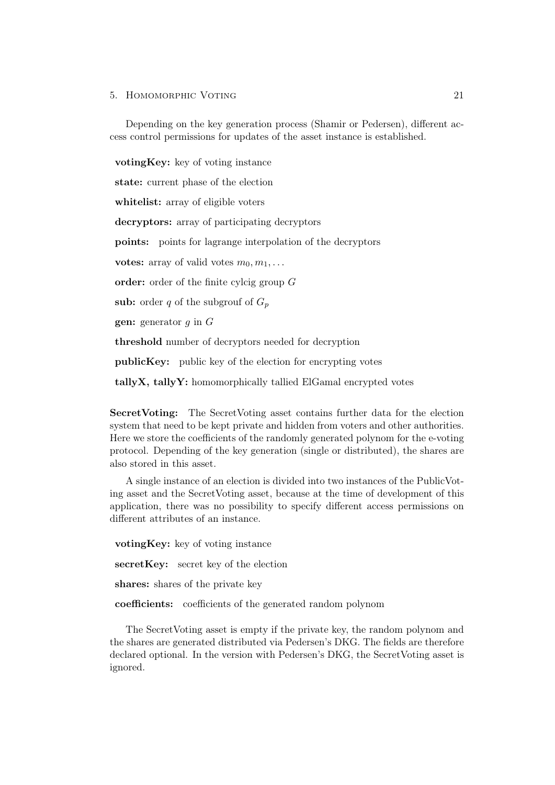#### 5. HOMOMORPHIC VOTING 21

Depending on the key generation process (Shamir or Pedersen), different access control permissions for updates of the asset instance is established.

votingKey: key of voting instance state: current phase of the election whitelist: array of eligible voters decryptors: array of participating decryptors points: points for lagrange interpolation of the decryptors votes: array of valid votes  $m_0, m_1, \ldots$ order: order of the finite cylcig group G sub: order q of the subgrouf of  $G_p$ **gen:** generator  $g$  in  $G$ threshold number of decryptors needed for decryption publicKey: public key of the election for encrypting votes

tallyX, tallyY: homomorphically tallied ElGamal encrypted votes

SecretVoting: The SecretVoting asset contains further data for the election system that need to be kept private and hidden from voters and other authorities. Here we store the coefficients of the randomly generated polynom for the e-voting protocol. Depending of the key generation (single or distributed), the shares are also stored in this asset.

A single instance of an election is divided into two instances of the PublicVoting asset and the SecretVoting asset, because at the time of development of this application, there was no possibility to specify different access permissions on different attributes of an instance.

votingKey: key of voting instance secretKey: secret key of the election shares: shares of the private key coefficients: coefficients of the generated random polynom

The SecretVoting asset is empty if the private key, the random polynom and the shares are generated distributed via Pedersen's DKG. The fields are therefore declared optional. In the version with Pedersen's DKG, the SecretVoting asset is ignored.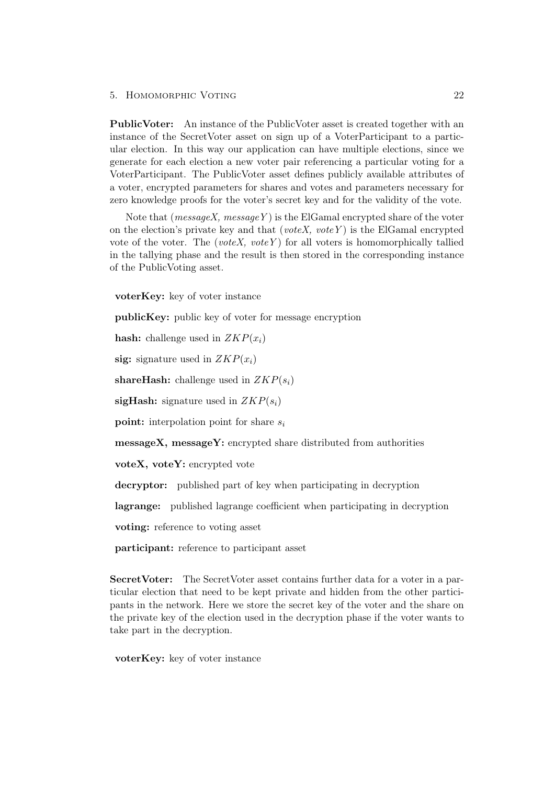PublicVoter: An instance of the PublicVoter asset is created together with an instance of the SecretVoter asset on sign up of a VoterParticipant to a particular election. In this way our application can have multiple elections, since we generate for each election a new voter pair referencing a particular voting for a VoterParticipant. The PublicVoter asset defines publicly available attributes of a voter, encrypted parameters for shares and votes and parameters necessary for zero knowledge proofs for the voter's secret key and for the validity of the vote.

Note that ( $messageX$ ,  $messageY$ ) is the ElGamal encrypted share of the voter on the election's private key and that (voteX, vote Y) is the ElGamal encrypted vote of the voter. The (voteX, voteY) for all voters is homomorphically tallied in the tallying phase and the result is then stored in the corresponding instance of the PublicVoting asset.

voterKey: key of voter instance

publicKey: public key of voter for message encryption

hash: challenge used in  $ZKP(x_i)$ 

sig: signature used in  $ZKP(x_i)$ 

shareHash: challenge used in  $ZKP(s_i)$ 

sigHash: signature used in  $ZKP(s_i)$ 

**point:** interpolation point for share  $s_i$ 

messageX, messageY: encrypted share distributed from authorities

voteX, voteY: encrypted vote

decryptor: published part of key when participating in decryption

lagrange: published lagrange coefficient when participating in decryption

voting: reference to voting asset

participant: reference to participant asset

SecretVoter: The SecretVoter asset contains further data for a voter in a particular election that need to be kept private and hidden from the other participants in the network. Here we store the secret key of the voter and the share on the private key of the election used in the decryption phase if the voter wants to take part in the decryption.

voterKey: key of voter instance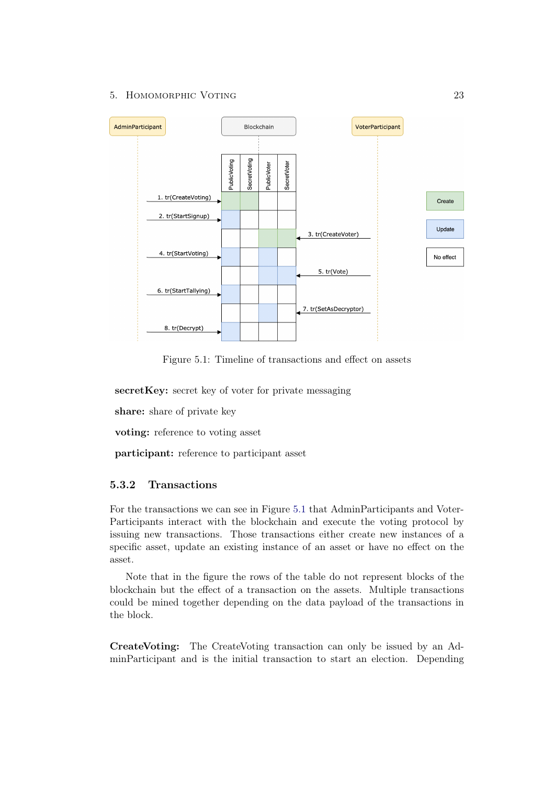

<span id="page-27-1"></span>Figure 5.1: Timeline of transactions and effect on assets

secretKey: secret key of voter for private messaging

share: share of private key

voting: reference to voting asset

participant: reference to participant asset

## <span id="page-27-0"></span>5.3.2 Transactions

For the transactions we can see in Figure [5.1](#page-27-1) that AdminParticipants and Voter-Participants interact with the blockchain and execute the voting protocol by issuing new transactions. Those transactions either create new instances of a specific asset, update an existing instance of an asset or have no effect on the asset.

Note that in the figure the rows of the table do not represent blocks of the blockchain but the effect of a transaction on the assets. Multiple transactions could be mined together depending on the data payload of the transactions in the block.

CreateVoting: The CreateVoting transaction can only be issued by an AdminParticipant and is the initial transaction to start an election. Depending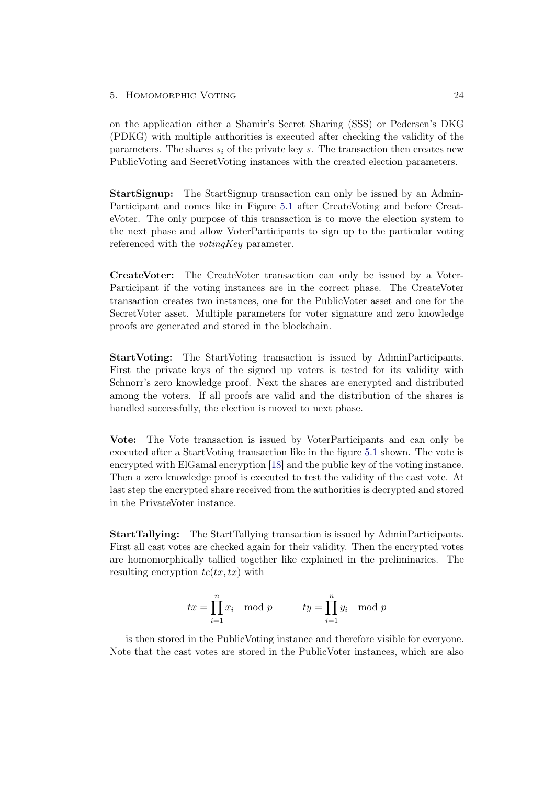on the application either a Shamir's Secret Sharing (SSS) or Pedersen's DKG (PDKG) with multiple authorities is executed after checking the validity of the parameters. The shares  $s_i$  of the private key s. The transaction then creates new PublicVoting and SecretVoting instances with the created election parameters.

StartSignup: The StartSignup transaction can only be issued by an Admin-Participant and comes like in Figure [5.1](#page-27-1) after CreateVoting and before CreateVoter. The only purpose of this transaction is to move the election system to the next phase and allow VoterParticipants to sign up to the particular voting referenced with the *votingKey* parameter.

CreateVoter: The CreateVoter transaction can only be issued by a Voter-Participant if the voting instances are in the correct phase. The CreateVoter transaction creates two instances, one for the PublicVoter asset and one for the SecretVoter asset. Multiple parameters for voter signature and zero knowledge proofs are generated and stored in the blockchain.

StartVoting: The StartVoting transaction is issued by AdminParticipants. First the private keys of the signed up voters is tested for its validity with Schnorr's zero knowledge proof. Next the shares are encrypted and distributed among the voters. If all proofs are valid and the distribution of the shares is handled successfully, the election is moved to next phase.

Vote: The Vote transaction is issued by VoterParticipants and can only be executed after a StartVoting transaction like in the figure [5.1](#page-27-1) shown. The vote is encrypted with ElGamal encryption [\[18\]](#page-33-4) and the public key of the voting instance. Then a zero knowledge proof is executed to test the validity of the cast vote. At last step the encrypted share received from the authorities is decrypted and stored in the PrivateVoter instance.

StartTallying: The StartTallying transaction is issued by AdminParticipants. First all cast votes are checked again for their validity. Then the encrypted votes are homomorphically tallied together like explained in the preliminaries. The resulting encryption  $tc(tx, tx)$  with

$$
tx = \prod_{i=1}^{n} x_i \mod p \qquad \qquad ty = \prod_{i=1}^{n} y_i \mod p
$$

is then stored in the PublicVoting instance and therefore visible for everyone. Note that the cast votes are stored in the PublicVoter instances, which are also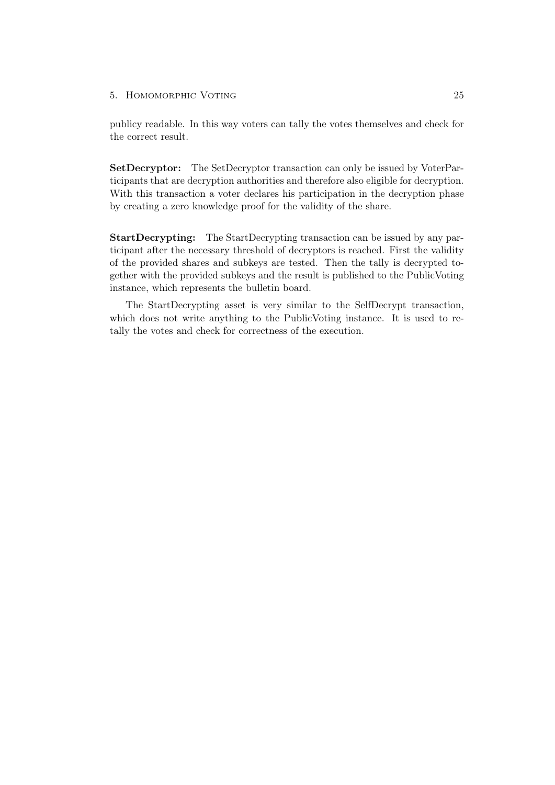publicy readable. In this way voters can tally the votes themselves and check for the correct result.

SetDecryptor: The SetDecryptor transaction can only be issued by VoterParticipants that are decryption authorities and therefore also eligible for decryption. With this transaction a voter declares his participation in the decryption phase by creating a zero knowledge proof for the validity of the share.

StartDecrypting: The StartDecrypting transaction can be issued by any participant after the necessary threshold of decryptors is reached. First the validity of the provided shares and subkeys are tested. Then the tally is decrypted together with the provided subkeys and the result is published to the PublicVoting instance, which represents the bulletin board.

The StartDecrypting asset is very similar to the SelfDecrypt transaction, which does not write anything to the PublicVoting instance. It is used to retally the votes and check for correctness of the execution.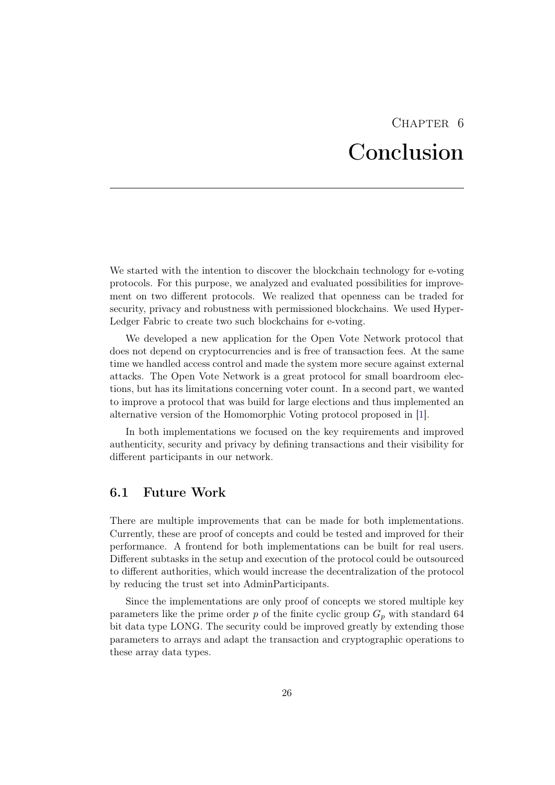# CHAPTER 6 Conclusion

<span id="page-30-0"></span>We started with the intention to discover the blockchain technology for e-voting protocols. For this purpose, we analyzed and evaluated possibilities for improvement on two different protocols. We realized that openness can be traded for security, privacy and robustness with permissioned blockchains. We used Hyper-Ledger Fabric to create two such blockchains for e-voting.

We developed a new application for the Open Vote Network protocol that does not depend on cryptocurrencies and is free of transaction fees. At the same time we handled access control and made the system more secure against external attacks. The Open Vote Network is a great protocol for small boardroom elections, but has its limitations concerning voter count. In a second part, we wanted to improve a protocol that was build for large elections and thus implemented an alternative version of the Homomorphic Voting protocol proposed in [\[1\]](#page-32-0).

In both implementations we focused on the key requirements and improved authenticity, security and privacy by defining transactions and their visibility for different participants in our network.

## <span id="page-30-1"></span>6.1 Future Work

There are multiple improvements that can be made for both implementations. Currently, these are proof of concepts and could be tested and improved for their performance. A frontend for both implementations can be built for real users. Different subtasks in the setup and execution of the protocol could be outsourced to different authorities, which would increase the decentralization of the protocol by reducing the trust set into AdminParticipants.

Since the implementations are only proof of concepts we stored multiple key parameters like the prime order p of the finite cyclic group  $G_p$  with standard 64 bit data type LONG. The security could be improved greatly by extending those parameters to arrays and adapt the transaction and cryptographic operations to these array data types.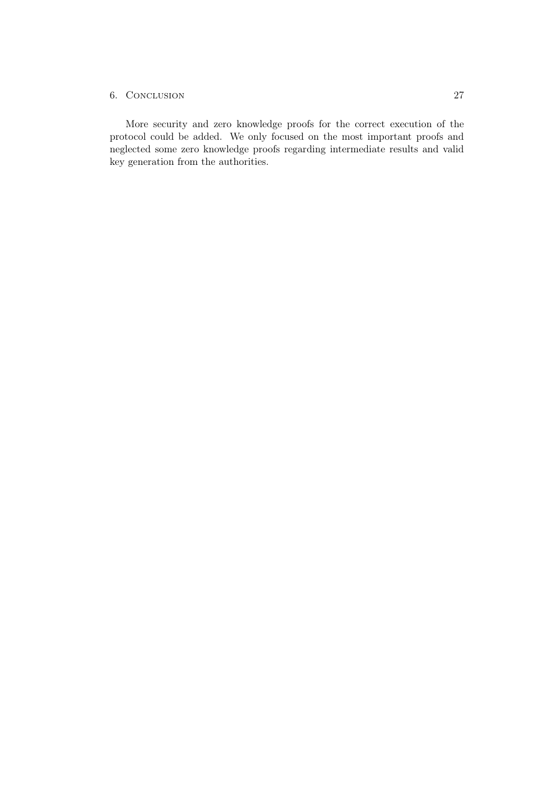### 6. Conclusion 27

More security and zero knowledge proofs for the correct execution of the protocol could be added. We only focused on the most important proofs and neglected some zero knowledge proofs regarding intermediate results and valid key generation from the authorities.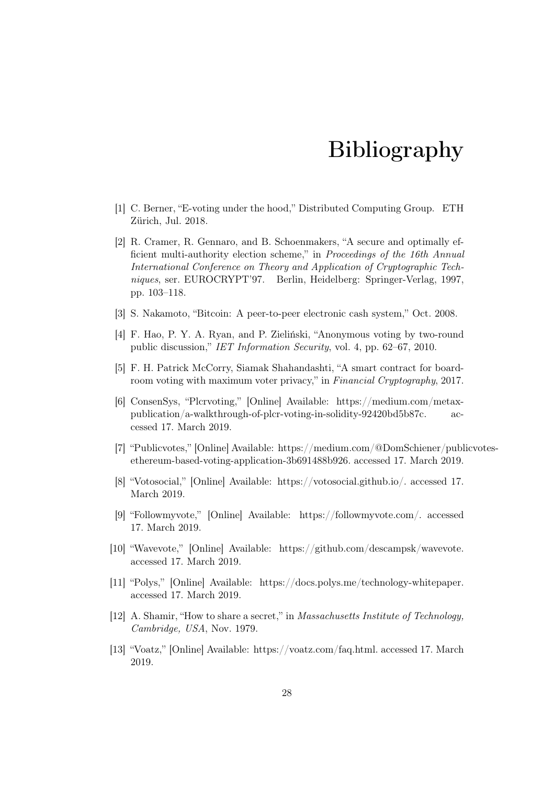# Bibliography

- <span id="page-32-2"></span><span id="page-32-0"></span>[1] C. Berner, "E-voting under the hood," Distributed Computing Group. ETH Zürich, Jul. 2018.
- <span id="page-32-1"></span>[2] R. Cramer, R. Gennaro, and B. Schoenmakers, "A secure and optimally efficient multi-authority election scheme," in Proceedings of the 16th Annual International Conference on Theory and Application of Cryptographic Techniques, ser. EUROCRYPT'97. Berlin, Heidelberg: Springer-Verlag, 1997, pp. 103–118.
- <span id="page-32-3"></span>[3] S. Nakamoto, "Bitcoin: A peer-to-peer electronic cash system," Oct. 2008.
- <span id="page-32-4"></span>[4] F. Hao, P. Y. A. Ryan, and P. Zieliński, "Anonymous voting by two-round public discussion," IET Information Security, vol. 4, pp. 62–67, 2010.
- <span id="page-32-5"></span>[5] F. H. Patrick McCorry, Siamak Shahandashti, "A smart contract for boardroom voting with maximum voter privacy," in Financial Cryptography, 2017.
- <span id="page-32-6"></span>[6] ConsenSys, "Plcrvoting," [Online] Available: https://medium.com/metaxpublication/a-walkthrough-of-plcr-voting-in-solidity-92420bd5b87c. accessed 17. March 2019.
- <span id="page-32-7"></span>[7] "Publicvotes," [Online] Available: https://medium.com/@DomSchiener/publicvotesethereum-based-voting-application-3b691488b926. accessed 17. March 2019.
- <span id="page-32-8"></span>[8] "Votosocial," [Online] Available: https://votosocial.github.io/. accessed 17. March 2019.
- <span id="page-32-9"></span>[9] "Followmyvote," [Online] Available: https://followmyvote.com/. accessed 17. March 2019.
- <span id="page-32-10"></span>[10] "Wavevote," [Online] Available: https://github.com/descampsk/wavevote. accessed 17. March 2019.
- <span id="page-32-11"></span>[11] "Polys," [Online] Available: https://docs.polys.me/technology-whitepaper. accessed 17. March 2019.
- <span id="page-32-12"></span>[12] A. Shamir, "How to share a secret," in Massachusetts Institute of Technology, Cambridge, USA, Nov. 1979.
- <span id="page-32-13"></span>[13] "Voatz," [Online] Available: https://voatz.com/faq.html. accessed 17. March 2019.